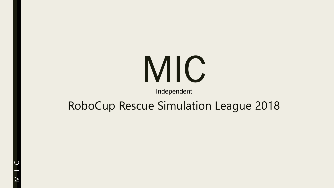# MIC

Independent

## RoboCup Rescue Simulation League 2018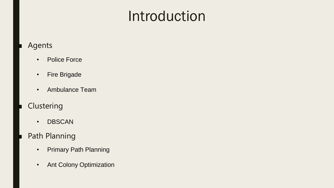## Introduction

#### **Agents**

- Police Force
- Fire Brigade
- Ambulance Team
- **Clustering** 
	- DBSCAN
- Path Planning
	- Primary Path Planning
	- Ant Colony Optimization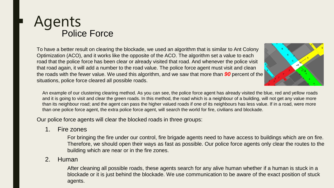### **Agents** Police Force

To have a better result on clearing the blockade, we used an algorithm that is similar to Ant Colony Optimization (ACO), and it works like the opposite of the ACO. The algorithm set a value to each road that the police force has been clear or already visited that road. And whenever the police visit that road again, it will add a number to the road value. The police force agent must visit and clean the roads with the fewer value. We used this algorithm, and we saw that more than *90* percent of the situations, police force cleared all possible roads.



An example of our clustering clearing method. As you can see, the police force agent has already visited the blue, red and yellow roads and it is going to visit and clear the green roads. In this method, the road which is a neighbour of a building, will not get any value more than its neighbour road; and the agent can pass the higher valued roads if one of its neighbours has less value. If in a road, were more than one police force agent, the extra police force agent, will search the world for fire, civilians and blockade.

Our police force agents will clear the blocked roads in three groups:

1. Fire zones

For bringing the fire under our control, fire brigade agents need to have access to buildings which are on fire. Therefore, we should open their ways as fast as possible. Our police force agents only clear the routes to the building which are near or in the fire zones.

#### 2. Human

After cleaning all possible roads, these agents search for any alive human whether if a human is stuck in a blockade or it is just behind the blockade. We use communication to be aware of the exact position of stuck agents.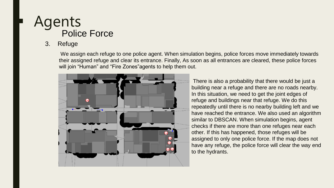## **Police Force Agents**

#### 3. Refuge

We assign each refuge to one police agent. When simulation begins, police forces move immediately towards their assigned refuge and clear its entrance. Finally, As soon as all entrances are cleared, these police forces will join "Human" and "Fire Zones"agents to help them out.



There is also a probability that there would be just a building near a refuge and there are no roads nearby. In this situation, we need to get the joint edges of refuge and buildings near that refuge. We do this repeatedly until there is no nearby building left and we have reached the entrance. We also used an algorithm similar to DBSCAN. When simulation begins, agent checks if there are more than one refuges near each other. If this has happened, those refuges will be assigned to only one police force. If the map does not have any refuge, the police force will clear the way end to the hydrants.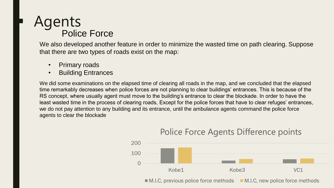## Police Force **Agents**

We also developed another feature in order to minimize the wasted time on path clearing. Suppose that there are two types of roads exist on the map:

- Primary roads
- Building Entrances

We did some examinations on the elapsed time of clearing all roads in the map, and we concluded that the elapsed time remarkably decreases when police forces are not planning to clear buildings' entrances. This is because of the RS concept, where usually agent must move to the building's entrance to clear the blockade. In order to have the least wasted time in the process of clearing roads, Except for the police forces that have to clear refuges' entrances, we do not pay attention to any building and its entrance, until the ambulance agents command the police force agents to clear the blockade



#### Police Force Agents Difference points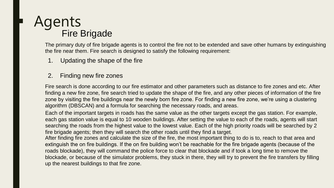## **Agents** Fire Brigade

The primary duty of fire brigade agents is to control the fire not to be extended and save other humans by extinguishing the fire near them. Fire search is designed to satisfy the following requirement:

- 1. Updating the shape of the fire
- 2. Finding new fire zones

Fire search is done according to our fire estimator and other parameters such as distance to fire zones and etc. After finding a new fire zone, fire search tried to update the shape of the fire, and any other pieces of information of the fire zone by visiting the fire buildings near the newly born fire zone. For finding a new fire zone, we're using a clustering algorithm (DBSCAN) and a formula for searching the necessary roads, and areas.

Each of the important targets in roads has the same value as the other targets except the gas station. For example, each gas station value is equal to 10 wooden buildings. After setting the value to each of the roads, agents will start searching the roads from the highest value to the lowest value. Each of the high priority roads will be searched by 2 fire brigade agents; then they will search the other roads until they find a target.

After finding fire zones and calculate the size of the fire, the most important thing to do is to, reach to that area and extinguish the on fire buildings. If the on fire building won't be reachable for the fire brigade agents (because of the roads blockade), they will command the police force to clear that blockade and if took a long time to remove the blockade, or because of the simulator problems, they stuck in there, they will try to prevent the fire transfers by filling up the nearest buildings to that fire zone.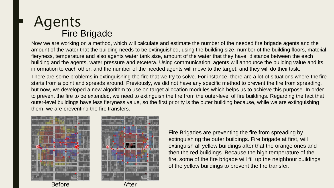### **Agents** Fire Brigade

Now we are working on a method, which will calculate and estimate the number of the needed fire brigade agents and the amount of the water that the building needs to be extinguished, using the building size, number of the building floors, material, fieryness, temperature and also agents water tank size, amount of the water that they have, distance between the each building and the agents, water pressure and etcetera. Using communication, agents will announce the building value and its information to each other, and the number of the needed agents will move to the target, and they will do their task.

There are some problems in extinguishing the fire that we try to solve. For instance, there are a lot of situations where the fire starts from a point and spreads around. Previously, we did not have any specific method to prevent the fire from spreading, but now, we developed a new algorithm to use on target allocation modules which helps us to achieve this purpose. In order to prevent the fire to be extended, we need to extinguish the fire from the outer-level of fire buildings. Regarding the fact that outer-level buildings have less fieryness value, so the first priority is the outer building because, while we are extinguishing them, we are preventing the fire transfers.







Fire Brigades are preventing the fire from spreading by extinguishing the outer buildings. Fire brigade at first, will extinguish all yellow buildings after that the orange ones and then the red buildings. Because the high temperature of the fire, some of the fire brigade will fill up the neighbour buildings of the yellow buildings to prevent the fire transfer.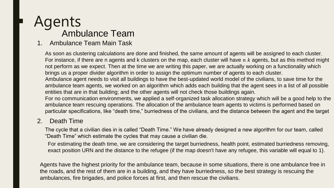#### Agents Ambulance Team

#### 1. Ambulance Team Main Task

As soon as clustering calculations are done and finished, the same amount of agents will be assigned to each cluster. For instance, if there are n agents and k clusters on the map, each cluster will have  $n \, k$  agents, but as this method might not perform as we expect. Then at the time we are writing this paper, we are actually working on a functionality which brings us a proper divider algorithm in order to assign the optimum number of agents to each cluster. Ambulance agent needs to visit all buildings to have the best-updated world model of the civilians, to save time for the ambulance team agents, we worked on an algorithm which adds each building that the agent sees in a list of all possible entities that are in that building; and the other agents will not check those buildings again. For no communication environments, we applied a self-organized task allocation strategy which will be a good help to the ambulance team rescuing operations. The allocation of the ambulance team agents to victims is performed based on particular specifications, like "death time," burriedness of the civilians, and the distance between the agent and the target

#### 2. Death Time

The cycle that a civilian dies in is called "Death Time." We have already designed a new algorithm for our team, called "Death Time" which estimate the cycles that may cause a civilian die.

For estimating the death time, we are considering the target burriedness, health point, estimated burriedness removing, exact position URN and the distance to the refugee (if the map doesn't have any refugee, this variable will equal to 1).

Agents have the highest priority for the ambulance team, because in some situations, there is one ambulance free in the roads, and the rest of them are in a building, and they have burriedness, so the best strategy is rescuing the ambulances, fire brigades, and police forces at first, and then rescue the civilians.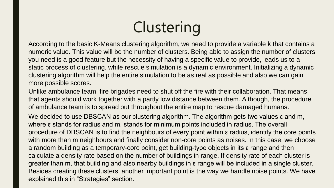## **Clustering**

According to the basic K-Means clustering algorithm, we need to provide a variable k that contains a numeric value. This value will be the number of clusters. Being able to assign the number of clusters you need is a good feature but the necessity of having a specific value to provide, leads us to a static process of clustering, while rescue simulation is a dynamic environment. Initializing a dynamic clustering algorithm will help the entire simulation to be as real as possible and also we can gain more possible scores.

Unlike ambulance team, fire brigades need to shut off the fire with their collaboration. That means that agents should work together with a partly low distance between them. Although, the procedure of ambulance team is to spread out throughout the entire map to rescue damaged humans.

We decided to use DBSCAN as our clustering algorithm. The algorithm gets two values ε and m, where ε stands for radius and m, stands for minimum points included in radius. The overall procedure of DBSCAN is to find the neighbours of every point within ε radius, identify the core points with more than m neighbours and finally consider non-core points as noises. In this case, we choose a random building as a temporary-core point, get building-type objects in its ε range and then calculate a density rate based on the number of buildings in range. If density rate of each cluster is greater than m, that building and also nearby buildings in ε range will be included in a single cluster. Besides creating these clusters, another important point is the way we handle noise points. We have explained this in "Strategies" section.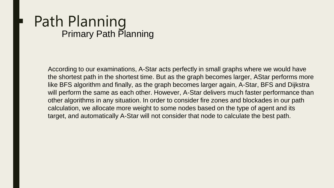## **Path Planning** Primary Path Planning

According to our examinations, A-Star acts perfectly in small graphs where we would have the shortest path in the shortest time. But as the graph becomes larger, AStar performs more like BFS algorithm and finally, as the graph becomes larger again, A-Star, BFS and Dijkstra will perform the same as each other. However, A-Star delivers much faster performance than other algorithms in any situation. In order to consider fire zones and blockades in our path calculation, we allocate more weight to some nodes based on the type of agent and its target, and automatically A-Star will not consider that node to calculate the best path.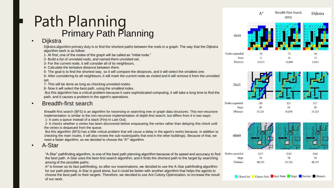## **Path Planning** Primary Path Planning

#### **Dijkstra**

Dijkstra algorithm primary duty is to find the shortest paths between the nods in a graph. The way that the Dijkstra algorithm work is as follow:

1- At first, one of the nodes of the graph will be called as "initial node."

2- Build a list of unvisited nods, and named them unvisited set.

3- For the current node, it will consider all of its neighbours.

4- Calculate the tentative distance between them.

5- The goal is to find the shortest way, so it will compare the distances, and it will select the smallest one.

6- After considering its all neighbours, it will mark the current node as visited and it will remove it from the unvisited set.

7- This will be done as long as checking unvisited nodes.

8- Now it will select the best path, using the smallest index.

But this algorithm has a critical problem because it uses sophisticated computing, it will take a long time to find the path, and it causes a problem in the agent's operations.

#### • Breadth-first search

Breadth-first search (BFS) is an algorithm for traversing or searching tree or graph data structures. This non-recursive implementation is similar to the non-recursive implementation of depth-first search, but differs from it in two ways:

1- It uses a queue instead of a stack (First In Last Out).

2- It checks whether a vertex has been discovered before enqueueing the vertex rather than delaying this check until the vertex is dequeued from the queue.

But this algorithm (BFS) has a little critical problem that will cause a delay in the agent's works because, in addition to checking the main routes, it will also review the sub-routes(paths that end in the other buildings). Because of that, we need a faster algorithm, so we decided to choose the "A\*" algorithm.

• A-Star

"A-Star" pathfinding algorithm, is one of the best path planning algorithm because of its speed and accuracy to find the best path. A-Star uses the best-first search algorithm, and it finds the shortest path to the target by searching among of the possible paths.

A\* is known as its fast pathfinding, so after our examinations, we decided to use the A-Star pathfinding algorithm for our path planning. A-Star is good alone, but it could be better with another algorithm that helps the agents to choose the best path to their targets. Therefore, we decided to use Ant Colony Optimization, to increase the result of our work.

 $A^*$ Diikstra  $(BFS)$ 

**Breadth First Search** 

10x10

**Distance** 

| Nodes expanded  | 35     | 71     | 69     |
|-----------------|--------|--------|--------|
| <b>Steps</b>    |        | 11     | 11     |
| <b>Distance</b> | 13.071 | 13.899 | 13.071 |





93.326

88.355

Closed Set Chosen Path Start Point Target Frontier Obstacle

88.355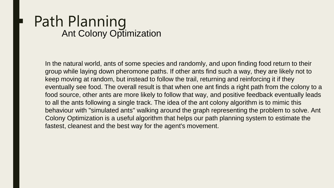## **Path Planning** Ant Colony Optimization

In the natural world, ants of some species and randomly, and upon finding food return to their group while laying down pheromone paths. If other ants find such a way, they are likely not to keep moving at random, but instead to follow the trail, returning and reinforcing it if they eventually see food. The overall result is that when one ant finds a right path from the colony to a food source, other ants are more likely to follow that way, and positive feedback eventually leads to all the ants following a single track. The idea of the ant colony algorithm is to mimic this behaviour with "simulated ants" walking around the graph representing the problem to solve. Ant Colony Optimization is a useful algorithm that helps our path planning system to estimate the fastest, cleanest and the best way for the agent's movement.